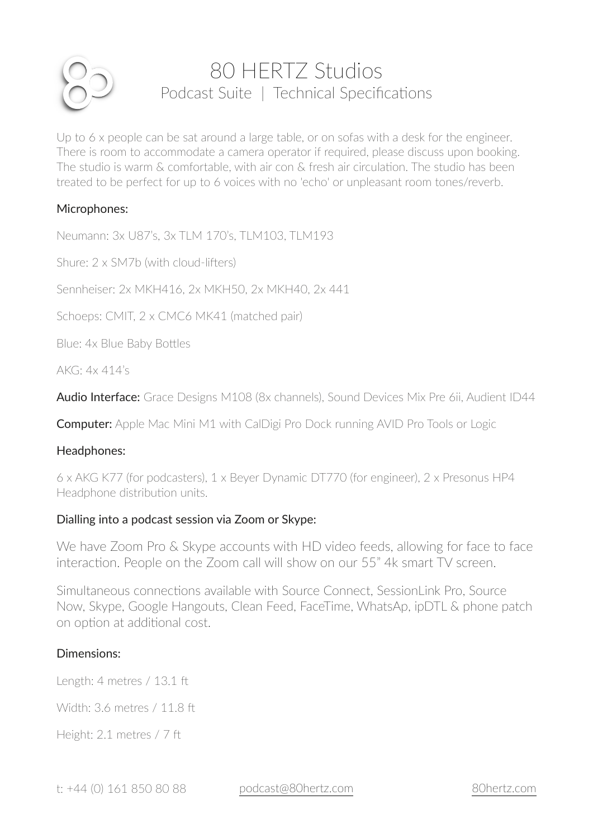

# 80 HERTZ Studios Podcast Suite | Technical Specifications

Up to 6 x people can be sat around a large table, or on sofas with a desk for the engineer. There is room to accommodate a camera operator if required, please discuss upon booking. The studio is warm & comfortable, with air con & fresh air circulation. The studio has been treated to be perfect for up to 6 voices with no 'echo' or unpleasant room tones/reverb.

## Microphones:

Neumann: 3x U87's, 3x TLM 170's, TLM103, TLM193

Shure: 2 x SM7b (with cloud-lifters)

Sennheiser: 2x MKH416, 2x MKH50, 2x MKH40, 2x 441

Schoeps: CMIT, 2 x CMC6 MK41 (matched pair)

Blue: 4x Blue Baby Bottles

AKG: 4x 414's

Audio Interface: Grace Designs M108 (8x channels), Sound Devices Mix Pre 6ii, Audient ID44

**Computer:** Apple Mac Mini M1 with CalDigi Pro Dock running AVID Pro Tools or Logic

### Headphones:

6 x AKG K77 (for podcasters), 1 x Beyer Dynamic DT770 (for engineer), 2 x Presonus HP4 Headphone distribution units.

### Dialling into a podcast session via Zoom or Skype:

We have Zoom Pro & Skype accounts with HD video feeds, allowing for face to face interaction. People on the Zoom call will show on our 55" 4k smart TV screen.

Simultaneous connections available with Source Connect, SessionLink Pro, Source Now, Skype, Google Hangouts, Clean Feed, FaceTime, WhatsAp, ipDTL & phone patch on option at additional cost.

### Dimensions:

Length: 4 metres / 13.1 ft

Width: 3.6 metres / 11.8 ft

Height: 2.1 metres / 7 ft